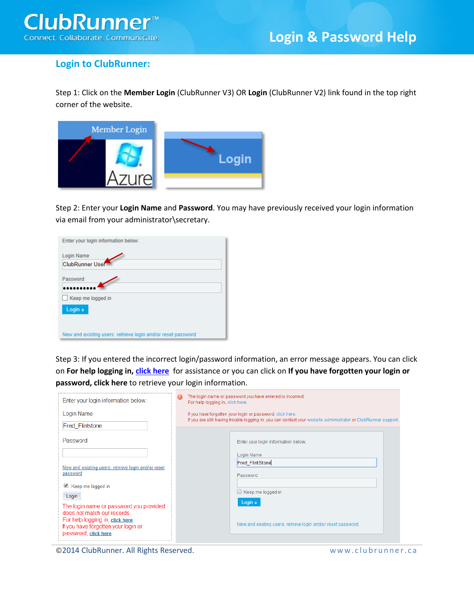

## **Login to ClubRunner:**

Step 1: Click on the **Member Login** (ClubRunner V3) OR **Login** (ClubRunner V2) link found in the top right corner of the website.



Step 2: Enter your **Login Name** and **Password**. You may have previously received your login information via email from your administrator\secretary.

| Enter your login information below:                          |  |
|--------------------------------------------------------------|--|
| <b>Login Name</b><br>ClubRunner User                         |  |
| Password                                                     |  |
| Keep me logged in                                            |  |
| Login »                                                      |  |
|                                                              |  |
| New and existing users: retrieve login and/or reset password |  |

Step 3: If you entered the incorrect login/password information, an error message appears. You can click on **For help logging in, [click here](http://clubrunner.helpserve.com/Knowledgebase/Article/View/913/277/retrieving-my-login-name--password)** for assistance or you can click on **If you have forgotten your login or password, click here** to retrieve your login information.

| Enter your login information below:                                                             | The login name or password you have entered is incorrect.<br>For help logging in, click here.                                                                              |                                                              |
|-------------------------------------------------------------------------------------------------|----------------------------------------------------------------------------------------------------------------------------------------------------------------------------|--------------------------------------------------------------|
| Login Name                                                                                      | If you have forgotten your login or password, click here.<br>If you are still having trouble logging in, you can contact your website administrator or ClubRunner support. |                                                              |
| <b>Fred Flintstone</b>                                                                          |                                                                                                                                                                            |                                                              |
| Password                                                                                        |                                                                                                                                                                            | Enter your login information below:                          |
|                                                                                                 |                                                                                                                                                                            | Login Name                                                   |
| New and existing users: retrieve login and/or reset<br>password<br>■ Keep me logged in<br>Login |                                                                                                                                                                            | <b>Fred FlintStone</b>                                       |
|                                                                                                 |                                                                                                                                                                            | Password                                                     |
|                                                                                                 |                                                                                                                                                                            | $\Box$ Keep me logged in                                     |
| The login name or password you provided<br>does not match our records.                          |                                                                                                                                                                            | Login »                                                      |
| For help logging in, click here<br>If you have forgotten your login or<br>password, click here  |                                                                                                                                                                            | New and existing users: retrieve login and/or reset password |
|                                                                                                 |                                                                                                                                                                            |                                                              |

©2014 ClubRunner. All Rights Reserved. www.clubrunner.ca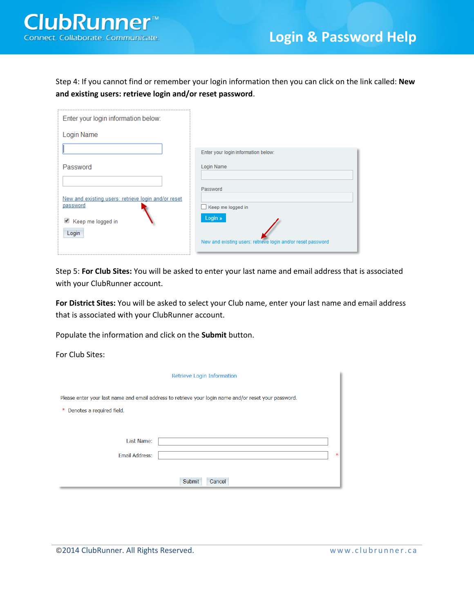Step 4: If you cannot find or remember your login information then you can click on the link called: **New and existing users: retrieve login and/or reset password**.

| Enter your login information below:                             |                                                              |
|-----------------------------------------------------------------|--------------------------------------------------------------|
| Login Name                                                      |                                                              |
|                                                                 | Enter your login information below:                          |
| Password                                                        | Login Name                                                   |
|                                                                 | Password                                                     |
| New and existing users: retrieve login and/or reset<br>password | Keep me logged in                                            |
| Keep me logged in                                               | Login »                                                      |
| Login                                                           | New and existing users: retrieve login and/or reset password |

Step 5: **For Club Sites:** You will be asked to enter your last name and email address that is associated with your ClubRunner account.

**For District Sites:** You will be asked to select your Club name, enter your last name and email address that is associated with your ClubRunner account.

Populate the information and click on the **Submit** button.

For Club Sites:

|                                     | Retrieve Login Information                                                                            |        |
|-------------------------------------|-------------------------------------------------------------------------------------------------------|--------|
| Denotes a required field.<br>$\ast$ | Please enter your last name and email address to retrieve your login name and/or reset your password. |        |
| Last Name:<br><b>Email Address:</b> |                                                                                                       | $\ast$ |
|                                     | Submit<br>Cancel                                                                                      |        |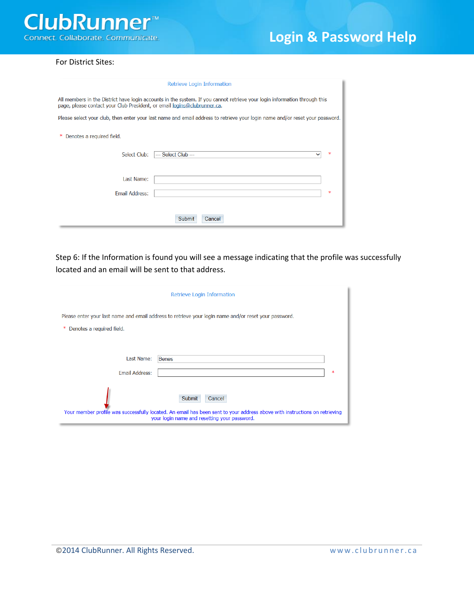

## For District Sites:

| Retrieve Login Information                                                                                                                                                                            |   |
|-------------------------------------------------------------------------------------------------------------------------------------------------------------------------------------------------------|---|
| All members in the District have login accounts in the system. If you cannot retrieve your login information through this<br>page, please contact your Club President, or email logins@clubrunner.ca. |   |
| Please select your club, then enter your last name and email address to retrieve your login name and/or reset your password.                                                                          |   |
| Denotes a required field.                                                                                                                                                                             |   |
| Select Club:<br>--- Select Club ---<br>$\checkmark$                                                                                                                                                   | ж |
| Last Name:                                                                                                                                                                                            |   |
| <b>Email Address:</b>                                                                                                                                                                                 | ж |
| <b>Submit</b><br>Cancel                                                                                                                                                                               |   |

Step 6: If the Information is found you will see a message indicating that the profile was successfully located and an email will be sent to that address.

| Retrieve Login Information                                                                                                                                                                     |
|------------------------------------------------------------------------------------------------------------------------------------------------------------------------------------------------|
| Please enter your last name and email address to retrieve your login name and/or reset your password.                                                                                          |
| Denotes a required field.<br>∗                                                                                                                                                                 |
|                                                                                                                                                                                                |
| Last Name:<br><b>Benes</b>                                                                                                                                                                     |
| Email Address:<br>ж                                                                                                                                                                            |
| Submit<br>Cancel<br>Your member profile was successfully located. An email has been sent to your address above with instructions on retrieving<br>your login name and resetting your password. |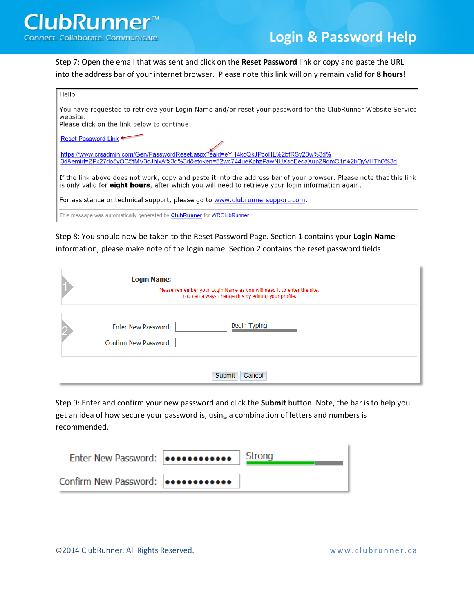

Step 7: Open the email that was sent and click on the **Reset Password** link or copy and paste the URL into the address bar of your internet browser. Please note this link will only remain valid for **8 hours**!

| Hello                                                                                                                                                                                                                                         |
|-----------------------------------------------------------------------------------------------------------------------------------------------------------------------------------------------------------------------------------------------|
| You have requested to retrieve your Login Name and/or reset your password for the ClubRunner Website Service<br>website.<br>Please click on the link below to continue:                                                                       |
| Reset Password Link <sup>+</sup>                                                                                                                                                                                                              |
| https://www.crsadmin.com/Gen/PasswordReset.aspx?eaid=eYH4kcQkJPcoHL%2bfRSv28w%3d%<br>3d&emid=ZPx27do5vOC5tMV3oJhlxA%3d%3d&etoken=52wc744ueKphzPawNUXsoEegaXupZ9gmC1r%2bQvVHTh0%3d                                                             |
| $\parallel$ If the link above does not work, copy and paste it into the address bar of your browser. Please note that this link<br>is only valid for <b>eight hours</b> , after which you will need to retrieve your login information again. |
| For assistance or technical support, please go to www.clubrunnersupport.com.                                                                                                                                                                  |
| I This message was automatically generated by <b>ClubRunner</b> for WRClubRunner                                                                                                                                                              |

Step 8: You should now be taken to the Reset Password Page. Section 1 contains your **Login Name** information; please make note of the login name. Section 2 contains the reset password fields.

| <b>Login Name:</b><br>Please remember your Login Name as you will need it to enter the site.<br>You can always change this by editing your profile. |
|-----------------------------------------------------------------------------------------------------------------------------------------------------|
| <b>Begin Typing</b><br><b>Enter New Password:</b><br>Confirm New Password:                                                                          |
| Cancel<br>Submit                                                                                                                                    |

Step 9: Enter and confirm your new password and click the **Submit** button. Note, the bar is to help you get an idea of how secure your password is, using a combination of letters and numbers is recommended.

| Confirm New Password: |  |
|-----------------------|--|